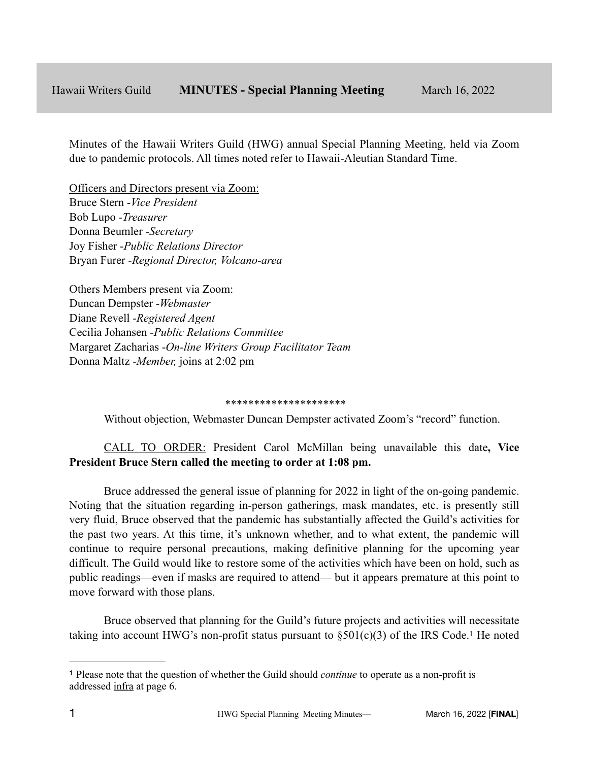Minutes of the Hawaii Writers Guild (HWG) annual Special Planning Meeting, held via Zoom due to pandemic protocols. All times noted refer to Hawaii-Aleutian Standard Time.

Officers and Directors present via Zoom: Bruce Stern -*Vice President* Bob Lupo -*Treasurer* Donna Beumler -*Secretary* Joy Fisher -*Public Relations Director* Bryan Furer -*Regional Director, Volcano-area*

Others Members present via Zoom: Duncan Dempster -*Webmaster* Diane Revell -*Registered Agent* Cecilia Johansen -*Public Relations Committee* Margaret Zacharias -*On-line Writers Group Facilitator Team* Donna Maltz -*Member,* joins at 2:02 pm

#### <span id="page-0-1"></span>\*\*\*\*\*\*\*\*\*\*\*\*\*\*\*\*\*\*\*\*\*

Without objection, Webmaster Duncan Dempster activated Zoom's "record" function.

# CALL TO ORDER: President Carol McMillan being unavailable this date**, Vice President Bruce Stern called the meeting to order at 1:08 pm.**

Bruce addressed the general issue of planning for 2022 in light of the on-going pandemic. Noting that the situation regarding in-person gatherings, mask mandates, etc. is presently still very fluid, Bruce observed that the pandemic has substantially affected the Guild's activities for the past two years. At this time, it's unknown whether, and to what extent, the pandemic will continue to require personal precautions, making definitive planning for the upcoming year difficult. The Guild would like to restore some of the activities which have been on hold, such as public readings—even if masks are required to attend— but it appears premature at this point to move forward with those plans.

Bruce observed that planning for the Guild's future projects and activities will necessitate taking into account HWG's non-profit status pursuant to  $\S501(c)(3)$  $\S501(c)(3)$  $\S501(c)(3)$  of the IRS Code[.](#page-0-0)<sup>1</sup> He noted

<span id="page-0-0"></span>Please note that the question of whether the Guild should *continue* to operate as a non-profit is [1](#page-0-1) addressed infra at page 6.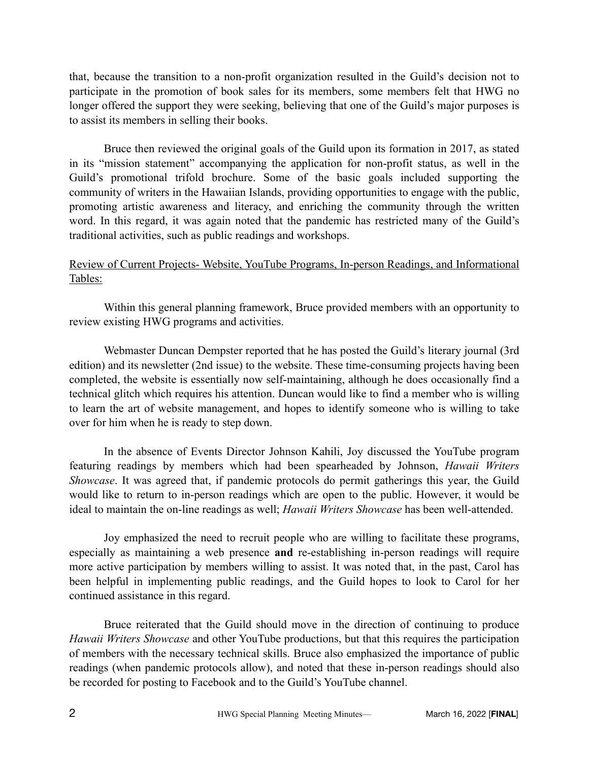that, because the transition to a non-profit organization resulted in the Guild's decision not to participate in the promotion of book sales for its members, some members felt that HWG no longer offered the support they were seeking, believing that one of the Guild's major purposes is to assist its members in selling their books.

Bruce then reviewed the original goals of the Guild upon its formation in 2017, as stated in its "mission statement" accompanying the application for non-profit status, as well in the Guild's promotional trifold brochure. Some of the basic goals included supporting the community of writers in the Hawaiian Islands, providing opportunities to engage with the public, promoting artistic awareness and literacy, and enriching the community through the written word. In this regard, it was again noted that the pandemic has restricted many of the Guild's traditional activities, such as public readings and workshops.

Review of Current Projects- Website, YouTube Programs, In-person Readings, and Informational Tables:

Within this general planning framework, Bruce provided members with an opportunity to review existing HWG programs and activities.

Webmaster Duncan Dempster reported that he has posted the Guild's literary journal (3rd edition) and its newsletter (2nd issue) to the website. These time-consuming projects having been completed, the website is essentially now self-maintaining, although he does occasionally find a technical glitch which requires his attention. Duncan would like to find a member who is willing to learn the art of website management, and hopes to identify someone who is willing to take over for him when he is ready to step down.

In the absence of Events Director Johnson Kahili, Joy discussed the YouTube program featuring readings by members which had been spearheaded by Johnson, *Hawaii Writers Showcase*. It was agreed that, if pandemic protocols do permit gatherings this year, the Guild would like to return to in-person readings which are open to the public. However, it would be ideal to maintain the on-line readings as well; *Hawaii Writers Showcase* has been well-attended.

Joy emphasized the need to recruit people who are willing to facilitate these programs, especially as maintaining a web presence **and** re-establishing in-person readings will require more active participation by members willing to assist. It was noted that, in the past, Carol has been helpful in implementing public readings, and the Guild hopes to look to Carol for her continued assistance in this regard.

Bruce reiterated that the Guild should move in the direction of continuing to produce *Hawaii Writers Showcase* and other YouTube productions, but that this requires the participation of members with the necessary technical skills. Bruce also emphasized the importance of public readings (when pandemic protocols allow), and noted that these in-person readings should also be recorded for posting to Facebook and to the Guild's YouTube channel.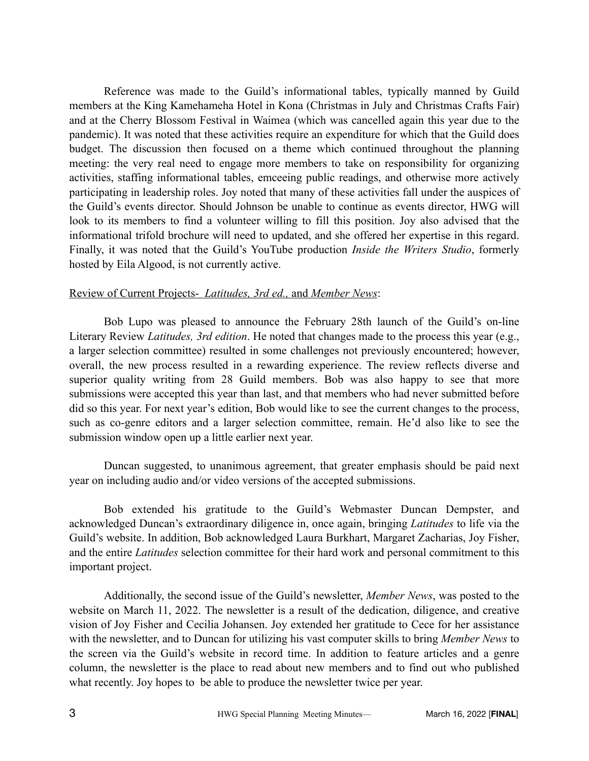Reference was made to the Guild's informational tables, typically manned by Guild members at the King Kamehameha Hotel in Kona (Christmas in July and Christmas Crafts Fair) and at the Cherry Blossom Festival in Waimea (which was cancelled again this year due to the pandemic). It was noted that these activities require an expenditure for which that the Guild does budget. The discussion then focused on a theme which continued throughout the planning meeting: the very real need to engage more members to take on responsibility for organizing activities, staffing informational tables, emceeing public readings, and otherwise more actively participating in leadership roles. Joy noted that many of these activities fall under the auspices of the Guild's events director. Should Johnson be unable to continue as events director, HWG will look to its members to find a volunteer willing to fill this position. Joy also advised that the informational trifold brochure will need to updated, and she offered her expertise in this regard. Finally, it was noted that the Guild's YouTube production *Inside the Writers Studio*, formerly hosted by Eila Algood, is not currently active.

#### Review of Current Projects- *Latitudes, 3rd ed.,* and *Member News*:

Bob Lupo was pleased to announce the February 28th launch of the Guild's on-line Literary Review *Latitudes, 3rd edition*. He noted that changes made to the process this year (e.g., a larger selection committee) resulted in some challenges not previously encountered; however, overall, the new process resulted in a rewarding experience. The review reflects diverse and superior quality writing from 28 Guild members. Bob was also happy to see that more submissions were accepted this year than last, and that members who had never submitted before did so this year. For next year's edition, Bob would like to see the current changes to the process, such as co-genre editors and a larger selection committee, remain. He'd also like to see the submission window open up a little earlier next year.

Duncan suggested, to unanimous agreement, that greater emphasis should be paid next year on including audio and/or video versions of the accepted submissions.

Bob extended his gratitude to the Guild's Webmaster Duncan Dempster, and acknowledged Duncan's extraordinary diligence in, once again, bringing *Latitudes* to life via the Guild's website. In addition, Bob acknowledged Laura Burkhart, Margaret Zacharias, Joy Fisher, and the entire *Latitudes* selection committee for their hard work and personal commitment to this important project.

Additionally, the second issue of the Guild's newsletter, *Member News*, was posted to the website on March 11, 2022. The newsletter is a result of the dedication, diligence, and creative vision of Joy Fisher and Cecilia Johansen. Joy extended her gratitude to Cece for her assistance with the newsletter, and to Duncan for utilizing his vast computer skills to bring *Member News* to the screen via the Guild's website in record time. In addition to feature articles and a genre column, the newsletter is the place to read about new members and to find out who published what recently. Joy hopes to be able to produce the newsletter twice per year.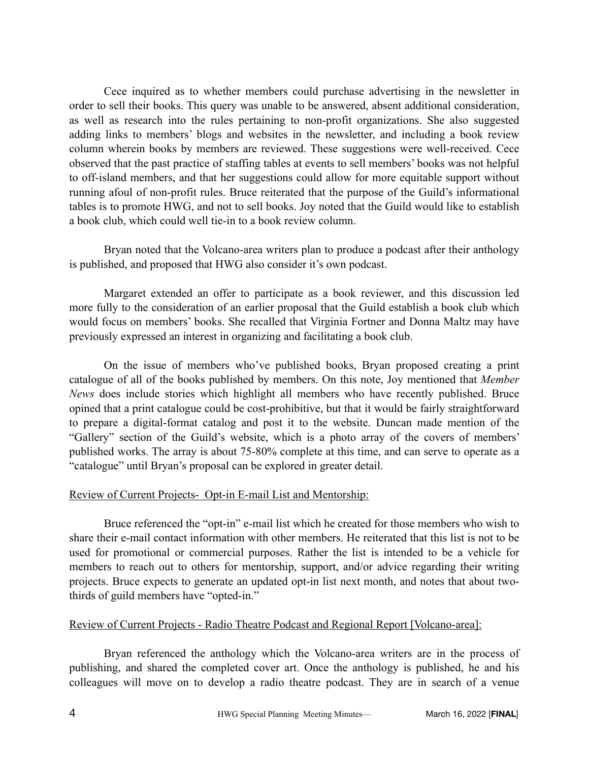Cece inquired as to whether members could purchase advertising in the newsletter in order to sell their books. This query was unable to be answered, absent additional consideration, as well as research into the rules pertaining to non-profit organizations. She also suggested adding links to members' blogs and websites in the newsletter, and including a book review column wherein books by members are reviewed. These suggestions were well-received. Cece observed that the past practice of staffing tables at events to sell members' books was not helpful to off-island members, and that her suggestions could allow for more equitable support without running afoul of non-profit rules. Bruce reiterated that the purpose of the Guild's informational tables is to promote HWG, and not to sell books. Joy noted that the Guild would like to establish a book club, which could well tie-in to a book review column.

Bryan noted that the Volcano-area writers plan to produce a podcast after their anthology is published, and proposed that HWG also consider it's own podcast.

Margaret extended an offer to participate as a book reviewer, and this discussion led more fully to the consideration of an earlier proposal that the Guild establish a book club which would focus on members' books. She recalled that Virginia Fortner and Donna Maltz may have previously expressed an interest in organizing and facilitating a book club.

On the issue of members who've published books, Bryan proposed creating a print catalogue of all of the books published by members. On this note, Joy mentioned that *Member News* does include stories which highlight all members who have recently published. Bruce opined that a print catalogue could be cost-prohibitive, but that it would be fairly straightforward to prepare a digital-format catalog and post it to the website. Duncan made mention of the "Gallery" section of the Guild's website, which is a photo array of the covers of members' published works. The array is about 75-80% complete at this time, and can serve to operate as a "catalogue" until Bryan's proposal can be explored in greater detail.

## Review of Current Projects- Opt-in E-mail List and Mentorship:

Bruce referenced the "opt-in" e-mail list which he created for those members who wish to share their e-mail contact information with other members. He reiterated that this list is not to be used for promotional or commercial purposes. Rather the list is intended to be a vehicle for members to reach out to others for mentorship, support, and/or advice regarding their writing projects. Bruce expects to generate an updated opt-in list next month, and notes that about twothirds of guild members have "opted-in."

#### Review of Current Projects - Radio Theatre Podcast and Regional Report [Volcano-area]:

Bryan referenced the anthology which the Volcano-area writers are in the process of publishing, and shared the completed cover art. Once the anthology is published, he and his colleagues will move on to develop a radio theatre podcast. They are in search of a venue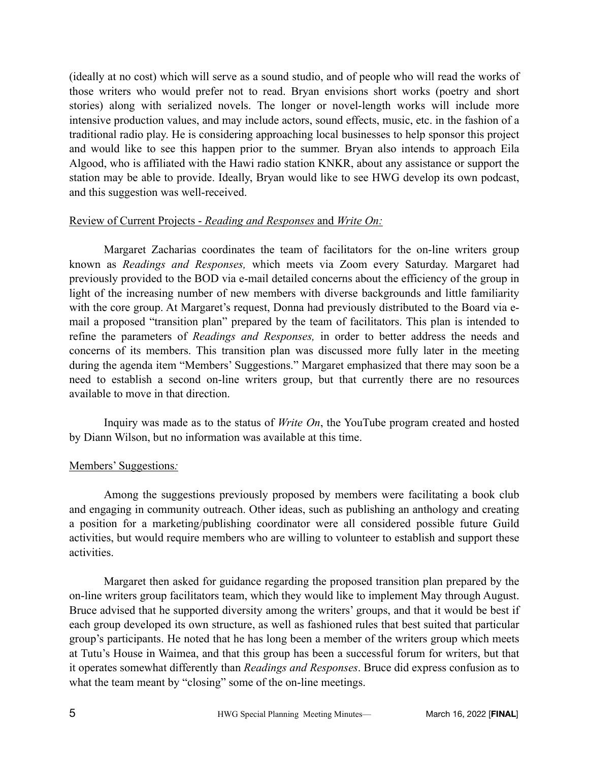(ideally at no cost) which will serve as a sound studio, and of people who will read the works of those writers who would prefer not to read. Bryan envisions short works (poetry and short stories) along with serialized novels. The longer or novel-length works will include more intensive production values, and may include actors, sound effects, music, etc. in the fashion of a traditional radio play. He is considering approaching local businesses to help sponsor this project and would like to see this happen prior to the summer. Bryan also intends to approach Eila Algood, who is affiliated with the Hawi radio station KNKR, about any assistance or support the station may be able to provide. Ideally, Bryan would like to see HWG develop its own podcast, and this suggestion was well-received.

#### Review of Current Projects - *Reading and Responses* and *Write On:*

Margaret Zacharias coordinates the team of facilitators for the on-line writers group known as *Readings and Responses,* which meets via Zoom every Saturday. Margaret had previously provided to the BOD via e-mail detailed concerns about the efficiency of the group in light of the increasing number of new members with diverse backgrounds and little familiarity with the core group. At Margaret's request, Donna had previously distributed to the Board via email a proposed "transition plan" prepared by the team of facilitators. This plan is intended to refine the parameters of *Readings and Responses,* in order to better address the needs and concerns of its members. This transition plan was discussed more fully later in the meeting during the agenda item "Members' Suggestions." Margaret emphasized that there may soon be a need to establish a second on-line writers group, but that currently there are no resources available to move in that direction.

Inquiry was made as to the status of *Write On*, the YouTube program created and hosted by Diann Wilson, but no information was available at this time.

## Members' Suggestions*:*

Among the suggestions previously proposed by members were facilitating a book club and engaging in community outreach. Other ideas, such as publishing an anthology and creating a position for a marketing/publishing coordinator were all considered possible future Guild activities, but would require members who are willing to volunteer to establish and support these activities.

Margaret then asked for guidance regarding the proposed transition plan prepared by the on-line writers group facilitators team, which they would like to implement May through August. Bruce advised that he supported diversity among the writers' groups, and that it would be best if each group developed its own structure, as well as fashioned rules that best suited that particular group's participants. He noted that he has long been a member of the writers group which meets at Tutu's House in Waimea, and that this group has been a successful forum for writers, but that it operates somewhat differently than *Readings and Responses*. Bruce did express confusion as to what the team meant by "closing" some of the on-line meetings.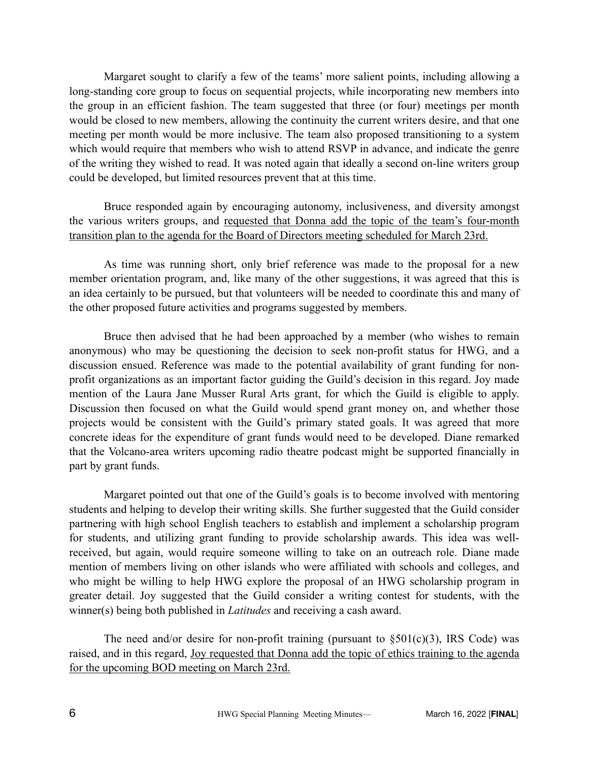Margaret sought to clarify a few of the teams' more salient points, including allowing a long-standing core group to focus on sequential projects, while incorporating new members into the group in an efficient fashion. The team suggested that three (or four) meetings per month would be closed to new members, allowing the continuity the current writers desire, and that one meeting per month would be more inclusive. The team also proposed transitioning to a system which would require that members who wish to attend RSVP in advance, and indicate the genre of the writing they wished to read. It was noted again that ideally a second on-line writers group could be developed, but limited resources prevent that at this time.

Bruce responded again by encouraging autonomy, inclusiveness, and diversity amongst the various writers groups, and requested that Donna add the topic of the team's four-month transition plan to the agenda for the Board of Directors meeting scheduled for March 23rd.

As time was running short, only brief reference was made to the proposal for a new member orientation program, and, like many of the other suggestions, it was agreed that this is an idea certainly to be pursued, but that volunteers will be needed to coordinate this and many of the other proposed future activities and programs suggested by members.

Bruce then advised that he had been approached by a member (who wishes to remain anonymous) who may be questioning the decision to seek non-profit status for HWG, and a discussion ensued. Reference was made to the potential availability of grant funding for nonprofit organizations as an important factor guiding the Guild's decision in this regard. Joy made mention of the Laura Jane Musser Rural Arts grant, for which the Guild is eligible to apply. Discussion then focused on what the Guild would spend grant money on, and whether those projects would be consistent with the Guild's primary stated goals. It was agreed that more concrete ideas for the expenditure of grant funds would need to be developed. Diane remarked that the Volcano-area writers upcoming radio theatre podcast might be supported financially in part by grant funds.

Margaret pointed out that one of the Guild's goals is to become involved with mentoring students and helping to develop their writing skills. She further suggested that the Guild consider partnering with high school English teachers to establish and implement a scholarship program for students, and utilizing grant funding to provide scholarship awards. This idea was wellreceived, but again, would require someone willing to take on an outreach role. Diane made mention of members living on other islands who were affiliated with schools and colleges, and who might be willing to help HWG explore the proposal of an HWG scholarship program in greater detail. Joy suggested that the Guild consider a writing contest for students, with the winner(s) being both published in *Latitudes* and receiving a cash award.

The need and/or desire for non-profit training (pursuant to  $\S501(c)(3)$ , IRS Code) was raised, and in this regard, Joy requested that Donna add the topic of ethics training to the agenda for the upcoming BOD meeting on March 23rd.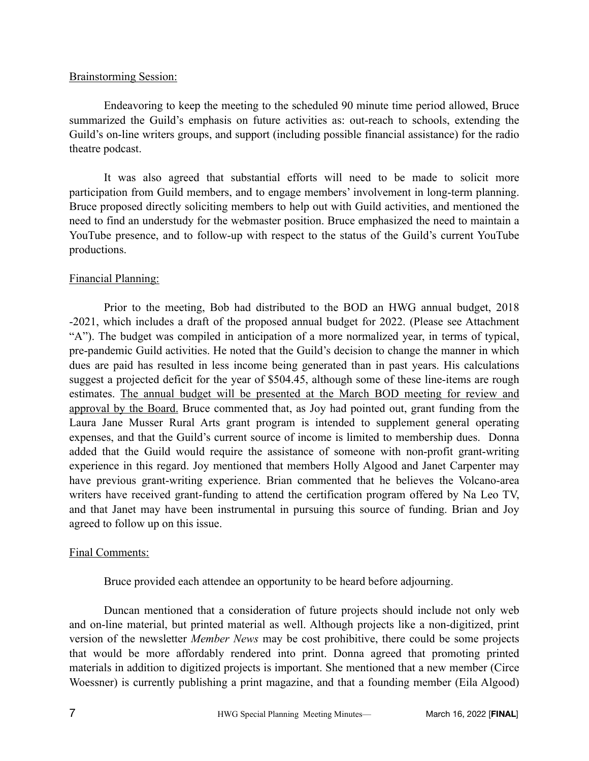#### Brainstorming Session:

Endeavoring to keep the meeting to the scheduled 90 minute time period allowed, Bruce summarized the Guild's emphasis on future activities as: out-reach to schools, extending the Guild's on-line writers groups, and support (including possible financial assistance) for the radio theatre podcast.

It was also agreed that substantial efforts will need to be made to solicit more participation from Guild members, and to engage members' involvement in long-term planning. Bruce proposed directly soliciting members to help out with Guild activities, and mentioned the need to find an understudy for the webmaster position. Bruce emphasized the need to maintain a YouTube presence, and to follow-up with respect to the status of the Guild's current YouTube productions.

## Financial Planning:

Prior to the meeting, Bob had distributed to the BOD an HWG annual budget, 2018 -2021, which includes a draft of the proposed annual budget for 2022. (Please see Attachment "A"). The budget was compiled in anticipation of a more normalized year, in terms of typical, pre-pandemic Guild activities. He noted that the Guild's decision to change the manner in which dues are paid has resulted in less income being generated than in past years. His calculations suggest a projected deficit for the year of \$504.45, although some of these line-items are rough estimates. The annual budget will be presented at the March BOD meeting for review and approval by the Board. Bruce commented that, as Joy had pointed out, grant funding from the Laura Jane Musser Rural Arts grant program is intended to supplement general operating expenses, and that the Guild's current source of income is limited to membership dues. Donna added that the Guild would require the assistance of someone with non-profit grant-writing experience in this regard. Joy mentioned that members Holly Algood and Janet Carpenter may have previous grant-writing experience. Brian commented that he believes the Volcano-area writers have received grant-funding to attend the certification program offered by Na Leo TV, and that Janet may have been instrumental in pursuing this source of funding. Brian and Joy agreed to follow up on this issue.

## Final Comments:

Bruce provided each attendee an opportunity to be heard before adjourning.

Duncan mentioned that a consideration of future projects should include not only web and on-line material, but printed material as well. Although projects like a non-digitized, print version of the newsletter *Member News* may be cost prohibitive, there could be some projects that would be more affordably rendered into print. Donna agreed that promoting printed materials in addition to digitized projects is important. She mentioned that a new member (Circe Woessner) is currently publishing a print magazine, and that a founding member (Eila Algood)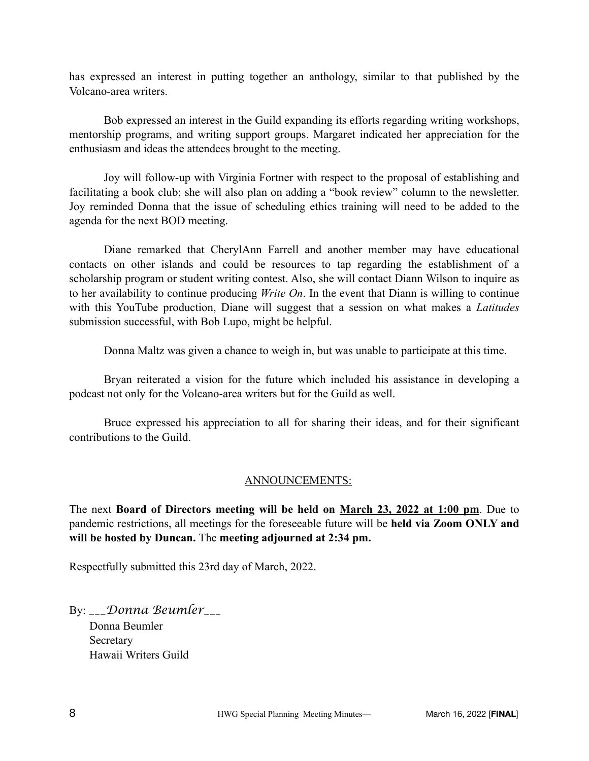has expressed an interest in putting together an anthology, similar to that published by the Volcano-area writers.

Bob expressed an interest in the Guild expanding its efforts regarding writing workshops, mentorship programs, and writing support groups. Margaret indicated her appreciation for the enthusiasm and ideas the attendees brought to the meeting.

Joy will follow-up with Virginia Fortner with respect to the proposal of establishing and facilitating a book club; she will also plan on adding a "book review" column to the newsletter. Joy reminded Donna that the issue of scheduling ethics training will need to be added to the agenda for the next BOD meeting.

Diane remarked that CherylAnn Farrell and another member may have educational contacts on other islands and could be resources to tap regarding the establishment of a scholarship program or student writing contest. Also, she will contact Diann Wilson to inquire as to her availability to continue producing *Write On*. In the event that Diann is willing to continue with this YouTube production, Diane will suggest that a session on what makes a *Latitudes* submission successful, with Bob Lupo, might be helpful.

Donna Maltz was given a chance to weigh in, but was unable to participate at this time.

Bryan reiterated a vision for the future which included his assistance in developing a podcast not only for the Volcano-area writers but for the Guild as well.

Bruce expressed his appreciation to all for sharing their ideas, and for their significant contributions to the Guild.

## ANNOUNCEMENTS:

The next **Board of Directors meeting will be held on March 23, 2022 at 1:00 pm**. Due to pandemic restrictions, all meetings for the foreseeable future will be **held via Zoom ONLY and will be hosted by Duncan.** The **meeting adjourned at 2:34 pm.**

Respectfully submitted this 23rd day of March, 2022.

By: *\_\_\_Donna Beumler\_\_\_* Donna Beumler **Secretary** Hawaii Writers Guild